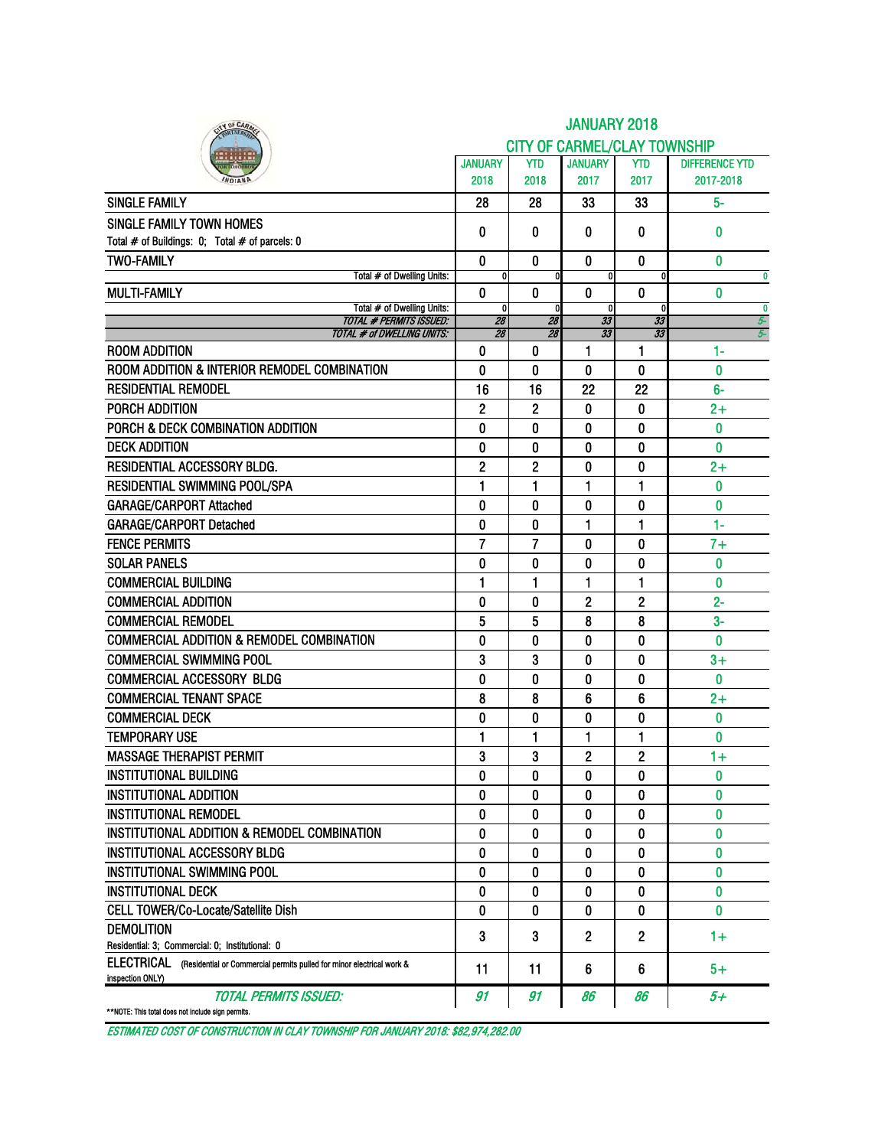| Y OF CAR                                                                                             |                              |                                     | <b>JANUARY 2018</b>         |                   |                       |  |  |  |  |
|------------------------------------------------------------------------------------------------------|------------------------------|-------------------------------------|-----------------------------|-------------------|-----------------------|--|--|--|--|
|                                                                                                      |                              | <b>CITY OF CARMEL/CLAY TOWNSHIP</b> |                             |                   |                       |  |  |  |  |
|                                                                                                      | <b>JANUARY</b>               | <b>YTD</b>                          | <b>JANUARY</b>              | <b>YTD</b>        | <b>DIFFERENCE YTD</b> |  |  |  |  |
|                                                                                                      | 2018                         | 2018                                | 2017                        | 2017              | 2017-2018             |  |  |  |  |
| <b>SINGLE FAMILY</b>                                                                                 | 28                           | 28                                  | 33                          | 33                | 5-                    |  |  |  |  |
| SINGLE FAMILY TOWN HOMES                                                                             |                              |                                     |                             |                   |                       |  |  |  |  |
| Total # of Buildings: 0; Total # of parcels: 0                                                       | 0                            | 0                                   | 0                           | 0                 | 0                     |  |  |  |  |
| <b>TWO-FAMILY</b>                                                                                    | 0                            | 0                                   | 0                           | 0                 | $\bf{0}$              |  |  |  |  |
| Total # of Dwelling Units:                                                                           | 0                            | n                                   | $\mathbf 0$                 |                   | $\mathbf{0}$          |  |  |  |  |
| <b>MULTI-FAMILY</b><br>Total # of Dwelling Units:                                                    | $\mathbf{0}$<br>$\mathbf{0}$ | 0<br>0                              | $\mathbf{0}$<br>$\mathbf 0$ | $\mathbf{0}$<br>0 | 0<br>$\mathbf{0}$     |  |  |  |  |
| <b>TOTAL # PERMITS ISSUED:</b>                                                                       | 28                           | 28                                  | 33                          | 33                | 5.                    |  |  |  |  |
| TOTAL # of DWELLING UNITS:                                                                           | 28                           | 28                                  | 33                          | 33                | 5-                    |  |  |  |  |
| <b>ROOM ADDITION</b>                                                                                 | 0                            | 0                                   | 1                           | 1                 | 1-                    |  |  |  |  |
| ROOM ADDITION & INTERIOR REMODEL COMBINATION                                                         | $\mathbf{0}$                 | 0                                   | 0                           | 0                 | 0                     |  |  |  |  |
| <b>RESIDENTIAL REMODEL</b>                                                                           | 16                           | 16                                  | 22                          | 22                | 6-                    |  |  |  |  |
| PORCH ADDITION                                                                                       | $\mathbf{2}$                 | $\mathbf{2}$                        | 0                           | 0                 | $2+$                  |  |  |  |  |
| PORCH & DECK COMBINATION ADDITION<br><b>DECK ADDITION</b>                                            | $\bf{0}$                     | 0                                   | 0                           | 0                 | 0                     |  |  |  |  |
| RESIDENTIAL ACCESSORY BLDG.                                                                          | 0                            | 0                                   | 0                           | 0                 | 0                     |  |  |  |  |
|                                                                                                      | $\mathbf{2}$                 | $\overline{2}$                      | 0                           | 0                 | $2+$                  |  |  |  |  |
| <b>RESIDENTIAL SWIMMING POOL/SPA</b>                                                                 | 1                            | 1                                   | 1                           | 1                 | 0                     |  |  |  |  |
| <b>GARAGE/CARPORT Attached</b><br><b>GARAGE/CARPORT Detached</b>                                     | 0<br>$\mathbf{0}$            | 0<br>0                              | 0<br>1                      | 0<br>1            | 0<br>$1 -$            |  |  |  |  |
| <b>FENCE PERMITS</b>                                                                                 | $\overline{7}$               | 7                                   | 0                           | 0                 | $7+$                  |  |  |  |  |
| <b>SOLAR PANELS</b>                                                                                  | 0                            | 0                                   | 0                           | 0                 | 0                     |  |  |  |  |
| <b>COMMERCIAL BUILDING</b>                                                                           | 1                            | 1                                   | 1                           | 1                 | 0                     |  |  |  |  |
| <b>COMMERCIAL ADDITION</b>                                                                           | $\bf{0}$                     | 0                                   | $\overline{2}$              | $\overline{c}$    | $2 -$                 |  |  |  |  |
| <b>COMMERCIAL REMODEL</b>                                                                            | 5                            | 5                                   | 8                           | 8                 | $3-$                  |  |  |  |  |
| <b>COMMERCIAL ADDITION &amp; REMODEL COMBINATION</b>                                                 | $\bf{0}$                     | 0                                   | 0                           | 0                 | 0                     |  |  |  |  |
| <b>COMMERCIAL SWIMMING POOL</b>                                                                      | 3                            | 3                                   | 0                           | 0                 | $3+$                  |  |  |  |  |
| <b>COMMERCIAL ACCESSORY BLDG</b>                                                                     | $\mathbf 0$                  | 0                                   | 0                           | 0                 | 0                     |  |  |  |  |
| <b>COMMERCIAL TENANT SPACE</b>                                                                       | 8                            | 8                                   | 6                           | 6                 | $2+$                  |  |  |  |  |
| <b>COMMERCIAL DECK</b>                                                                               | $\mathbf{0}$                 | 0                                   | 0                           | 0                 | 0                     |  |  |  |  |
| <b>TEMPORARY USE</b>                                                                                 | 1                            | 1                                   | 1                           | 1                 | 0                     |  |  |  |  |
| <b>MASSAGE THERAPIST PERMIT</b>                                                                      | 3                            | 3                                   | $\overline{2}$              | $\overline{2}$    | $1+$                  |  |  |  |  |
| <b>INSTITUTIONAL BUILDING</b>                                                                        | 0                            | 0                                   | 0                           | 0                 | 0                     |  |  |  |  |
| <b>INSTITUTIONAL ADDITION</b>                                                                        | 0                            | 0                                   | 0                           | 0                 | 0                     |  |  |  |  |
| <b>INSTITUTIONAL REMODEL</b>                                                                         | 0                            | 0                                   | 0                           | 0                 | 0                     |  |  |  |  |
| INSTITUTIONAL ADDITION & REMODEL COMBINATION                                                         | 0                            | 0                                   | 0                           | 0                 | 0                     |  |  |  |  |
| <b>INSTITUTIONAL ACCESSORY BLDG</b>                                                                  | 0                            | 0                                   | 0                           | 0                 | 0                     |  |  |  |  |
| <b>INSTITUTIONAL SWIMMING POOL</b>                                                                   | 0                            | 0                                   | 0                           | 0                 | 0                     |  |  |  |  |
| <b>INSTITUTIONAL DECK</b>                                                                            | 0                            | 0                                   | 0                           | 0                 | 0                     |  |  |  |  |
| CELL TOWER/Co-Locate/Satellite Dish                                                                  | 0                            | 0                                   | 0                           | 0                 | 0                     |  |  |  |  |
| <b>DEMOLITION</b>                                                                                    | 3                            | 3                                   | 2                           | 2                 | 1+                    |  |  |  |  |
| Residential: 3; Commercial: 0; Institutional: 0                                                      |                              |                                     |                             |                   |                       |  |  |  |  |
| ELECTRICAL (Residential or Commercial permits pulled for minor electrical work &<br>inspection ONLY) | 11                           | 11                                  | 6                           | 6                 | $5+$                  |  |  |  |  |
| <b>TOTAL PERMITS ISSUED:</b><br>**NOTE: This total does not include sign permits.                    | 91                           | 91                                  | 86                          | 86                | $5+$                  |  |  |  |  |

ESTIMATED COST OF CONSTRUCTION IN CLAY TOWNSHIP FOR JANUARY 2018: \$82,974,282.00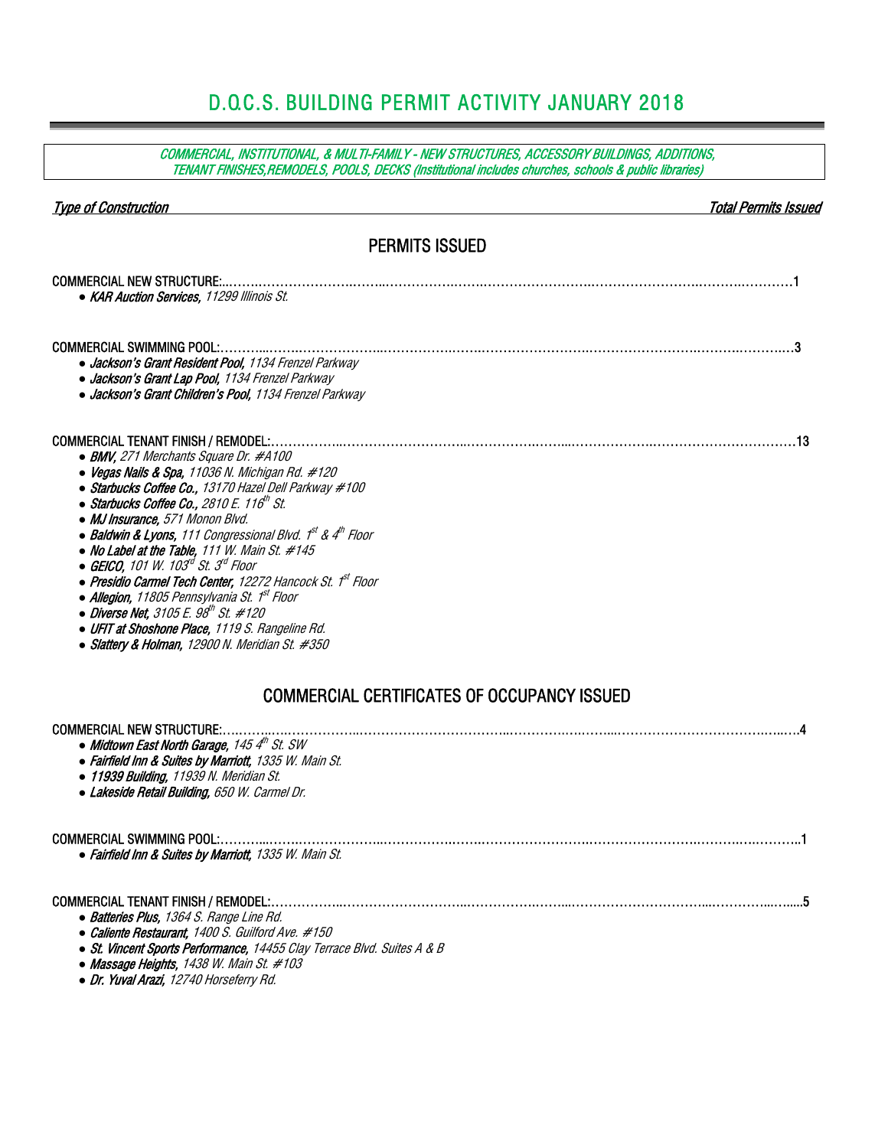# D.O.C.S. BUILDING PERMIT ACTIVITY JANUARY 2018

| COMMERCIAL, INSTITUTIONAL, & MULTI-FAMILY - NEW STRUCTURES, ACCESSORY BUILDINGS, ADDITIONS,<br>TENANT FINISHES, REMODELS, POOLS, DECKS (Institutional includes churches, schools & public libraries)                                                                                                                                                                                                                                                                                                                                                                                                                                                                                                                                               |                             |
|----------------------------------------------------------------------------------------------------------------------------------------------------------------------------------------------------------------------------------------------------------------------------------------------------------------------------------------------------------------------------------------------------------------------------------------------------------------------------------------------------------------------------------------------------------------------------------------------------------------------------------------------------------------------------------------------------------------------------------------------------|-----------------------------|
| <b>Type of Construction</b>                                                                                                                                                                                                                                                                                                                                                                                                                                                                                                                                                                                                                                                                                                                        | <b>Total Permits Issued</b> |
| <b>PERMITS ISSUED</b>                                                                                                                                                                                                                                                                                                                                                                                                                                                                                                                                                                                                                                                                                                                              |                             |
| <b>COMMERCIAL NEW STRUCTURE:.</b><br>• KAR Auction Services, 11299 Illinois St.                                                                                                                                                                                                                                                                                                                                                                                                                                                                                                                                                                                                                                                                    |                             |
| <b>COMMERCIAL SWIMMING POOL:.</b><br>· Jackson's Grant Resident Pool, 1134 Frenzel Parkway<br>· Jackson's Grant Lap Pool, 1134 Frenzel Parkway<br>· Jackson's Grant Children's Pool, 1134 Frenzel Parkway                                                                                                                                                                                                                                                                                                                                                                                                                                                                                                                                          |                             |
| <b>COMMERCIAL TENANT FINISH / REMODEL:.</b><br>• BMV, 271 Merchants Square Dr. #A100<br>• Vegas Nails & Spa, 11036 N. Michigan Rd. #120<br>• Starbucks Coffee Co., 13170 Hazel Dell Parkway #100<br>• Starbucks Coffee Co., 2810 E. 116 <sup>th</sup> St.<br>• MJ Insurance, 571 Monon Blvd.<br>• Baldwin & Lyons, 111 Congressional Blvd. 1st & 4th Floor<br>• No Label at the Table, 111 W. Main St. #145<br>• GEICO, 101 W. 103 $^{d}$ St. 3 $^{d}$ Floor<br>• Presidio Carmel Tech Center, 12272 Hancock St. 1 <sup>st</sup> Floor<br>• Allegion, 11805 Pennsylvania St. 1 <sup>st</sup> Floor<br>• Diverse Net, $3105 E. 98th St. #120$<br>• UFIT at Shoshone Place, 1119 S. Rangeline Rd.<br>• Slattery & Holman, 12900 N. Meridian St. #350 |                             |
| <b>COMMERCIAL CERTIFICATES OF OCCUPANCY ISSUED</b>                                                                                                                                                                                                                                                                                                                                                                                                                                                                                                                                                                                                                                                                                                 |                             |
| <b>COMMERCIAL NEW STRUCTURE:.</b><br>• Midtown East North Garage, 145 4th St. SW<br>• Fairfield Inn & Suites by Marriott, 1335 W. Main St.<br>• 11939 Building, 11939 N. Meridian St.<br>· Lakeside Retail Building, 650 W. Carmel Dr.                                                                                                                                                                                                                                                                                                                                                                                                                                                                                                             |                             |
| <b>COMMERCIAL SWIMMING POOL:.</b><br>• Fairfield Inn & Suites by Marriott, 1335 W. Main St.                                                                                                                                                                                                                                                                                                                                                                                                                                                                                                                                                                                                                                                        |                             |
| <b>COMMERCIAL TENANT FINISH / REMODEL:</b><br>• Batteries Plus, 1364 S. Range Line Rd.<br>• Caliente Restaurant, 1400 S. Guilford Ave. #150<br>• St. Vincent Sports Performance, 14455 Clay Terrace Blvd. Suites A & B<br>• Massage Heights, 1438 W. Main St. #103<br>• Dr. Yuval Arazi, 12740 Horseferry Rd.                                                                                                                                                                                                                                                                                                                                                                                                                                      |                             |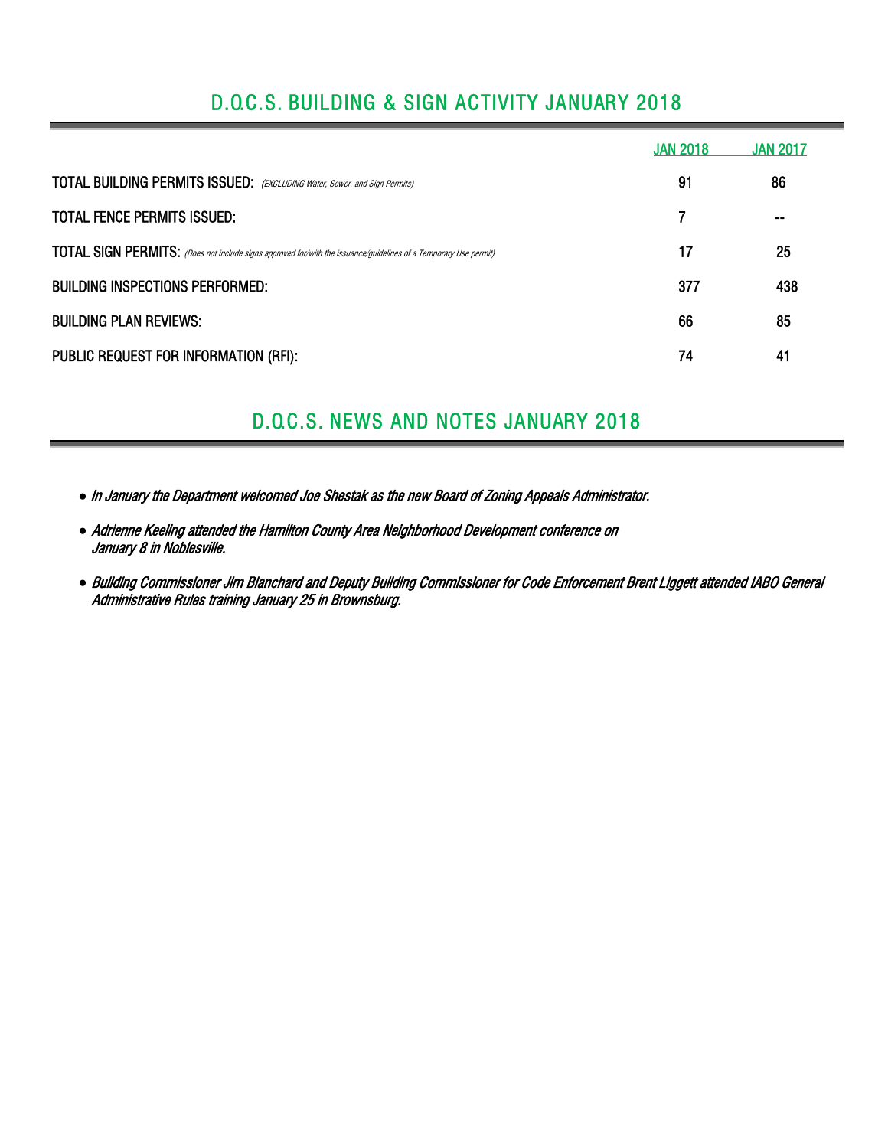## D.O.C.S. BUILDING & SIGN ACTIVITY JANUARY 2018

|                                                                                                                  | <b>JAN 2018</b> | <b>JAN 2017</b> |
|------------------------------------------------------------------------------------------------------------------|-----------------|-----------------|
| <b>TOTAL BUILDING PERMITS ISSUED:</b> (EXCLUDING Water, Sewer, and Sign Permits)                                 | 91              | 86              |
| <b>TOTAL FENCE PERMITS ISSUED:</b>                                                                               |                 |                 |
| TOTAL SIGN PERMITS: (Does not include signs approved for/with the issuance/guidelines of a Temporary Use permit) | 17              | 25              |
| <b>BUILDING INSPECTIONS PERFORMED:</b>                                                                           | 377             | 438             |
| <b>BUILDING PLAN REVIEWS:</b>                                                                                    | 66              | 85              |
| PUBLIC REQUEST FOR INFORMATION (RFI):                                                                            | 74              | 41              |

## D.O.C.S. NEWS AND NOTES JANUARY 2018

- *●* In January the Department welcomed Joe Shestak as the new Board of Zoning Appeals Administrator.
- *●* Adrienne Keeling attended the Hamilton County Area Neighborhood Development conference on January 8 in Noblesville.
- *●* Building Commissioner Jim Blanchard and Deputy Building Commissioner for Code Enforcement Brent Liggett attended IABO General Administrative Rules training January 25 in Brownsburg.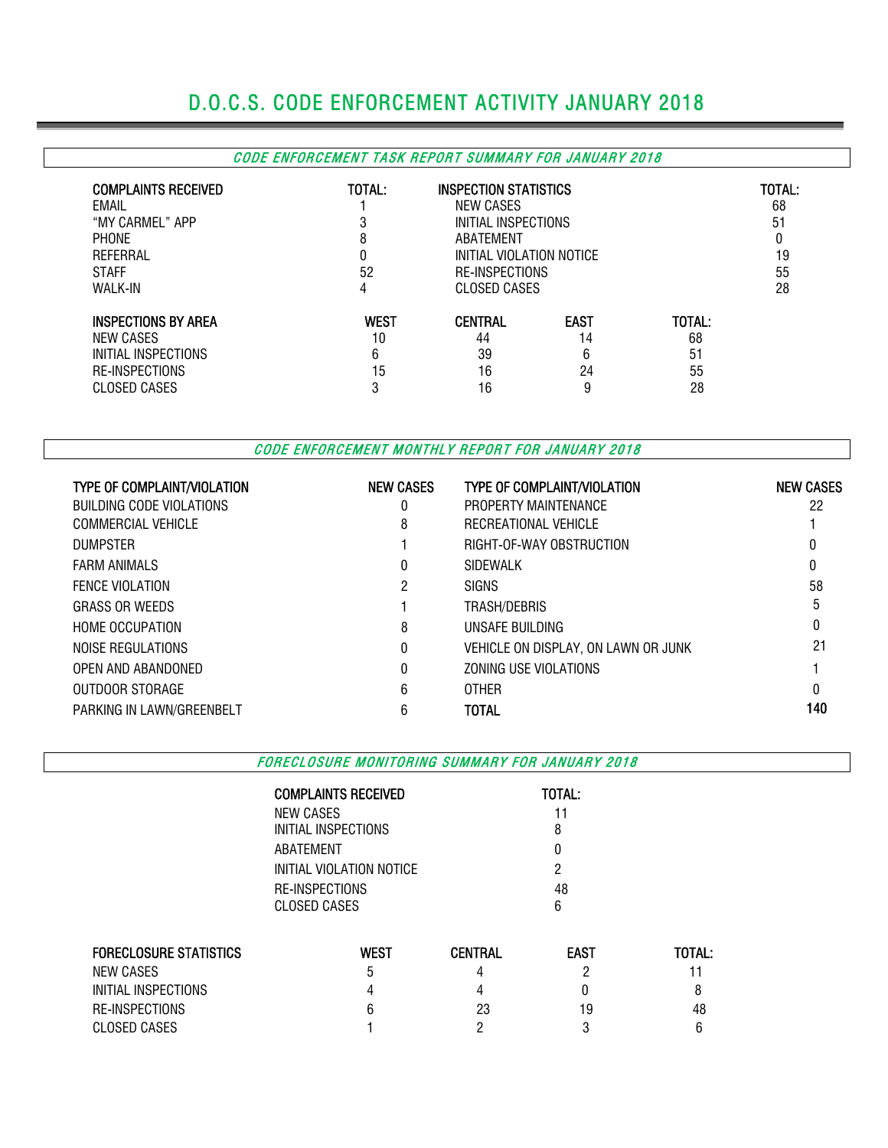# D.O.C.S. CODE ENFORCEMENT ACTIVITY JANUARY 2018

### CODE ENFORCEMENT TASK REPORT SUMMARY FOR JANUARY 2018

| <b>COMPLAINTS RECEIVED</b><br><b>EMAIL</b><br>"MY CARMEL" APP<br><b>PHONE</b><br>REFERRAL<br><b>STAFF</b><br>WALK-IN | TOTAL:<br>8<br>0<br>52<br>4 |                | <b>INSPECTION STATISTICS</b><br>NEW CASES<br>INITIAL INSPECTIONS<br>ABATEMENT<br>INITIAL VIOLATION NOTICE<br><b>RE-INSPECTIONS</b><br><b>CLOSED CASES</b> |        |  |  |  |  |  |
|----------------------------------------------------------------------------------------------------------------------|-----------------------------|----------------|-----------------------------------------------------------------------------------------------------------------------------------------------------------|--------|--|--|--|--|--|
| <b>INSPECTIONS BY AREA</b>                                                                                           | <b>WEST</b>                 | <b>CENTRAL</b> | <b>EAST</b>                                                                                                                                               | TOTAL: |  |  |  |  |  |
| NEW CASES                                                                                                            | 10                          | 44             | 14                                                                                                                                                        | 68     |  |  |  |  |  |
| INITIAL INSPECTIONS                                                                                                  | 6                           | 39             | 6                                                                                                                                                         | 51     |  |  |  |  |  |
| <b>RE-INSPECTIONS</b>                                                                                                | 15                          | 16             | 24                                                                                                                                                        | 55     |  |  |  |  |  |
| CLOSED CASES                                                                                                         | n                           | 16             | 9                                                                                                                                                         | 28     |  |  |  |  |  |

CODE ENFORCEMENT MONTHLY REPORT FOR JANUARY 2018

| <b>TYPE OF COMPLAINT/VIOLATION</b> | <b>NEW CASES</b> | <b>TYPE OF COMPLAINT/VIOLATION</b>  | <b>NEW CASES</b> |
|------------------------------------|------------------|-------------------------------------|------------------|
| BUILDING CODE VIOLATIONS           | 0                | PROPERTY MAINTENANCE                | 22               |
| COMMERCIAL VEHICLE                 | 8                | RECREATIONAL VEHICLE                |                  |
| <b>DUMPSTER</b>                    |                  | RIGHT-OF-WAY OBSTRUCTION            |                  |
| <b>FARM ANIMALS</b>                | 0                | SIDEWALK                            |                  |
| <b>FENCE VIOLATION</b>             | 2                | <b>SIGNS</b>                        | 58               |
| <b>GRASS OR WEEDS</b>              |                  | TRASH/DEBRIS                        | 5                |
| <b>HOME OCCUPATION</b>             | 8                | UNSAFE BUILDING                     |                  |
| NOISE REGULATIONS                  | 0                | VEHICLE ON DISPLAY, ON LAWN OR JUNK | 21               |
| OPEN AND ABANDONED                 | $\theta$         | ZONING USE VIOLATIONS               |                  |
| OUTDOOR STORAGE                    | 6                | <b>OTHER</b>                        | 0                |
| PARKING IN LAWN/GREENBELT          | 6                | <b>TOTAL</b>                        | 140              |

FORECLOSURE MONITORING SUMMARY FOR JANUARY 2018

|                               | <b>COMPLAINTS RECEIVED</b>     |                | TOTAL:      |        |  |  |  |  |  |
|-------------------------------|--------------------------------|----------------|-------------|--------|--|--|--|--|--|
|                               | NEW CASES                      |                |             |        |  |  |  |  |  |
|                               | INITIAL INSPECTIONS            |                | 8           |        |  |  |  |  |  |
|                               | ABATEMENT                      |                | 0           |        |  |  |  |  |  |
|                               | INITIAL VIOLATION NOTICE       |                |             |        |  |  |  |  |  |
|                               | RE-INSPECTIONS<br>CLOSED CASES |                |             |        |  |  |  |  |  |
|                               |                                |                |             |        |  |  |  |  |  |
| <b>FORECLOSURE STATISTICS</b> | <b>WEST</b>                    | <b>CENTRAL</b> | <b>EAST</b> | TOTAL: |  |  |  |  |  |
| NEW CASES                     | 5                              | 4              | ი           |        |  |  |  |  |  |
| INITIAL INSPECTIONS           | 4                              | 4              | 0           | 8      |  |  |  |  |  |
| RE-INSPECTIONS                | 6                              | 23             | 19          | 48     |  |  |  |  |  |
| <b>CLOSED CASES</b>           |                                |                |             | 6      |  |  |  |  |  |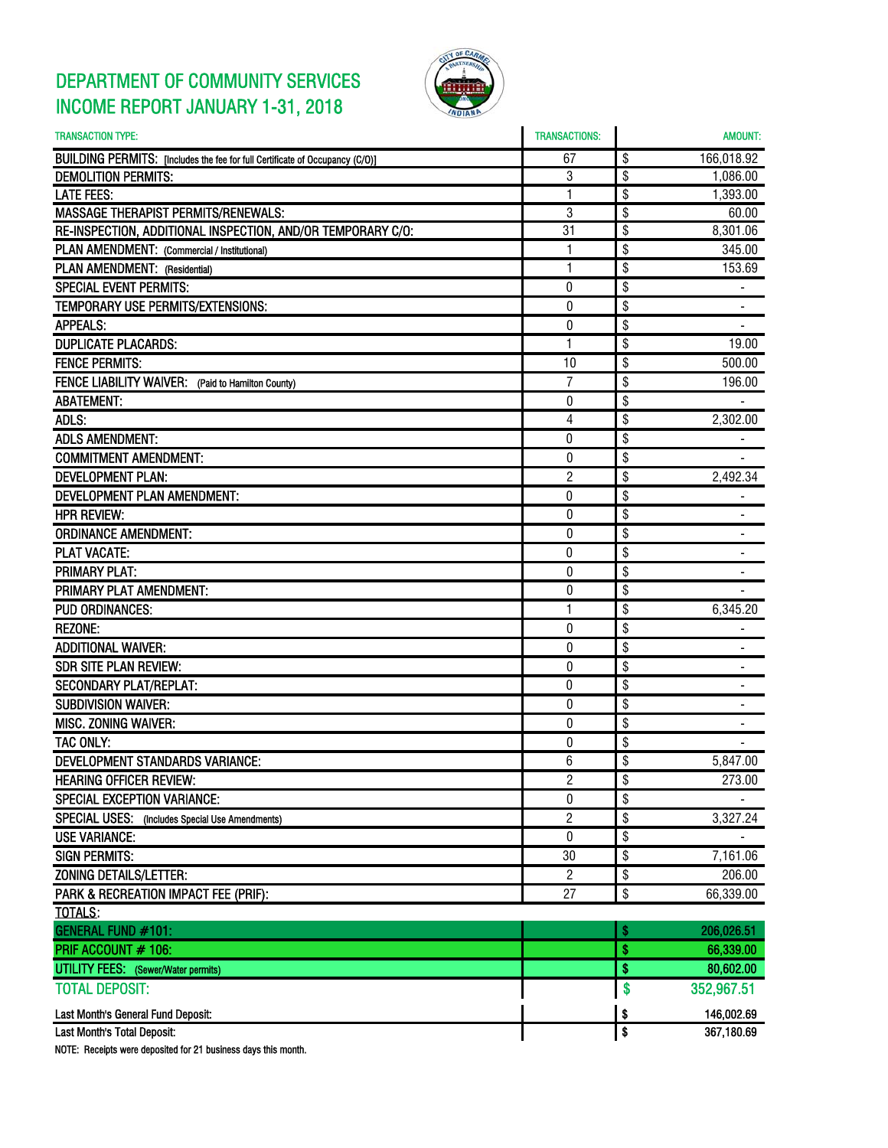## DEPARTMENT OF COMMUNITY SERVICES INCOME REPORT JANUARY 1-31, 2018



| <b>TRANSACTION TYPE:</b>                                                     | <b>TRANSACTIONS:</b> | AMOUNT:                            |
|------------------------------------------------------------------------------|----------------------|------------------------------------|
| BUILDING PERMITS: [Includes the fee for full Certificate of Occupancy (C/O)] | 67                   | \$<br>166,018.92                   |
| <b>DEMOLITION PERMITS:</b>                                                   | 3                    | \$<br>1,086.00                     |
| <b>LATE FEES:</b>                                                            | 1                    | \$<br>1,393.00                     |
| <b>MASSAGE THERAPIST PERMITS/RENEWALS:</b>                                   | 3                    | \$<br>60.00                        |
| RE-INSPECTION, ADDITIONAL INSPECTION, AND/OR TEMPORARY C/O:                  | 31                   | \$<br>8,301.06                     |
| PLAN AMENDMENT: (Commercial / Institutional)                                 | 1                    | \$<br>345.00                       |
| PLAN AMENDMENT: (Residential)                                                | 1                    | \$<br>153.69                       |
| <b>SPECIAL EVENT PERMITS:</b>                                                | 0                    | \$                                 |
| TEMPORARY USE PERMITS/EXTENSIONS:                                            | 0                    | \$                                 |
| <b>APPEALS:</b>                                                              | 0                    | \$                                 |
| <b>DUPLICATE PLACARDS:</b>                                                   | 1                    | \$<br>19.00                        |
| <b>FENCE PERMITS:</b>                                                        | 10                   | \$<br>500.00                       |
| FENCE LIABILITY WAIVER: (Paid to Hamilton County)                            | $\overline{7}$       | \$<br>196.00                       |
| <b>ABATEMENT:</b>                                                            | 0                    | \$                                 |
| ADLS:                                                                        | 4                    | \$<br>2,302.00                     |
| <b>ADLS AMENDMENT:</b>                                                       | 0                    | \$                                 |
| <b>COMMITMENT AMENDMENT:</b>                                                 | 0                    | \$                                 |
| <b>DEVELOPMENT PLAN:</b>                                                     | $\overline{c}$       | \$<br>2,492.34                     |
| DEVELOPMENT PLAN AMENDMENT:                                                  | $\bf{0}$             | \$                                 |
| <b>HPR REVIEW:</b>                                                           | 0                    | \$                                 |
| <b>ORDINANCE AMENDMENT:</b>                                                  | 0                    | \$<br>٠                            |
| <b>PLAT VACATE:</b>                                                          | $\bf{0}$             | \$<br>$\blacksquare$               |
| <b>PRIMARY PLAT:</b>                                                         | $\theta$             | \$                                 |
| PRIMARY PLAT AMENDMENT:                                                      | 0                    |                                    |
|                                                                              |                      | \$                                 |
| <b>PUD ORDINANCES:</b><br><b>REZONE:</b>                                     | 1                    | \$<br>6,345.20                     |
|                                                                              | 0                    | \$                                 |
| <b>ADDITIONAL WAIVER:</b>                                                    | 0                    | \$                                 |
| <b>SDR SITE PLAN REVIEW:</b>                                                 | 0                    | \$                                 |
| <b>SECONDARY PLAT/REPLAT:</b>                                                | $\bf{0}$             | \$                                 |
| <b>SUBDIVISION WAIVER:</b>                                                   | 0                    | \$                                 |
| <b>MISC. ZONING WAIVER:</b>                                                  | 0                    | \$                                 |
| TAC ONLY:                                                                    | 0                    | \$                                 |
| DEVELOPMENT STANDARDS VARIANCE:                                              | 6                    | \$<br>5,847.00                     |
| <b>HEARING OFFICER REVIEW:</b>                                               | 2                    | $\overline{\mathcal{S}}$<br>273.00 |
| SPECIAL EXCEPTION VARIANCE:                                                  | $\theta$             | \$                                 |
| SPECIAL USES: (Includes Special Use Amendments)                              | $\overline{2}$       | \$<br>3,327.24                     |
| <b>USE VARIANCE:</b>                                                         | 0                    | \$                                 |
| <b>SIGN PERMITS:</b>                                                         | 30                   | \$<br>7,161.06                     |
| <b>ZONING DETAILS/LETTER:</b>                                                | 2                    | \$<br>206.00                       |
| PARK & RECREATION IMPACT FEE (PRIF):                                         | 27                   | \$<br>66,339.00                    |
| TOTALS:                                                                      |                      |                                    |
| <b>GENERAL FUND #101:</b>                                                    |                      | \$<br>206,026.51                   |
| PRIF ACCOUNT # 106:                                                          |                      | \$<br>66,339.00                    |
| <b>UTILITY FEES:</b> (Sewer/Water permits)                                   |                      | \$<br>80,602.00                    |
| <b>TOTAL DEPOSIT:</b>                                                        |                      | \$<br>352,967.51                   |
| Last Month's General Fund Deposit:                                           |                      | \$<br>146,002.69                   |
| Last Month's Total Deposit:                                                  |                      | \$<br>367,180.69                   |

NOTE: Receipts were deposited for 21 business days this month.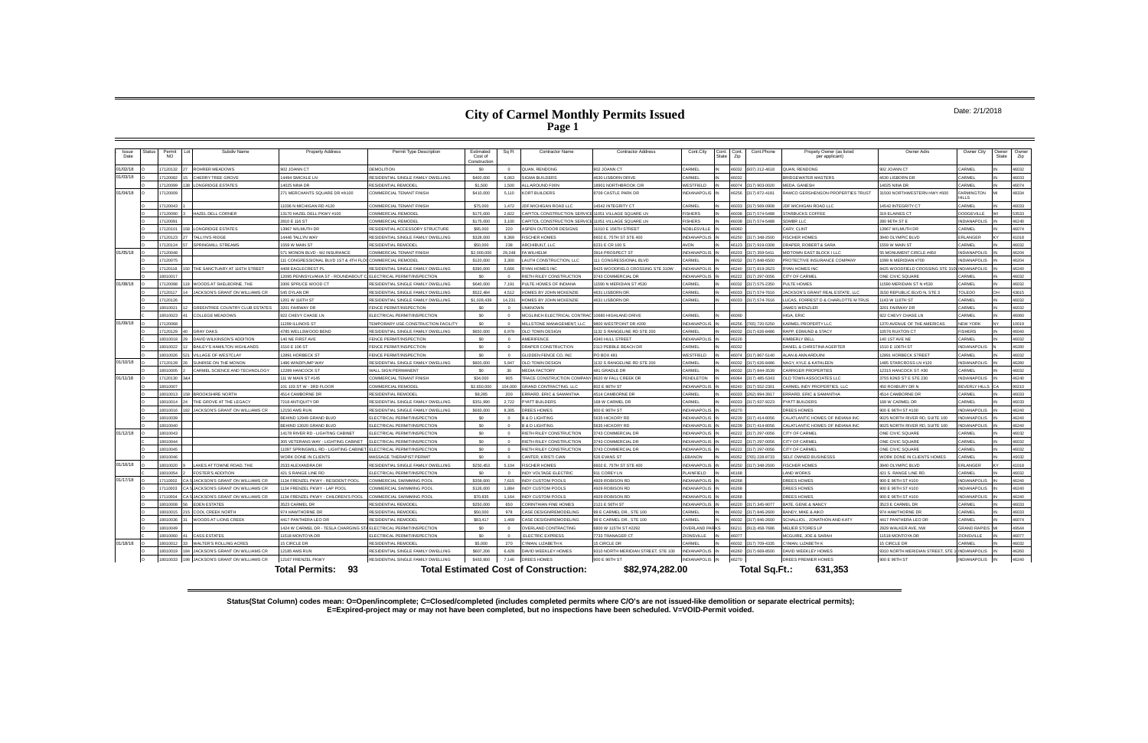## **City of Carmel Monthly Permits Issued Page 1**

#### Date: 2/1/2018

**Status(Stat Column) codes mean: O=Open/incomplete; C=Closed/completed (includes completed permits where C/O's are not issued-like demolition or separate electrical permits); E=Expired-project may or may not have been completed, but no inspections have been scheduled. V=VOID-Permit voided.**

| Issue<br>Date | tatu: | Permit<br><b>NO</b> | Subdiv Name                           | <b>Property Address</b>                                          | Permit Type Description             | Estimated<br>Cost of<br>Constructio | Sq Ft          | <b>Contractor Name</b>                                  | <b>Contractor Addres</b>            | Cont.City            | Cont.<br>State | Cont.<br>Zip | Cont.Phone           | Propety Owner (as listed<br>per applicant) | Owner Adrs                      | Owner City                   | Owner<br>State | Owner<br>Zip |
|---------------|-------|---------------------|---------------------------------------|------------------------------------------------------------------|-------------------------------------|-------------------------------------|----------------|---------------------------------------------------------|-------------------------------------|----------------------|----------------|--------------|----------------------|--------------------------------------------|---------------------------------|------------------------------|----------------|--------------|
| 01/02/18      |       | 17120132            | ROHRER MEADOWS                        | 902 JOANN CT                                                     | <b>DEMOLITION</b>                   | SO.                                 | $\Omega$       | QUAN, RENDONG                                           | 902 JOANN CT                        | CARMEL               |                | 46032        | (937) 212-4618       | QUAN, RENDONG                              | 902 JOANN CT                    | CARMEL                       |                | 46032        |
| 01/03/18      |       | 17120082            | CHERRY TREE GROVE                     | 4494 SMICKLE LN                                                  | RESIDENTIAL SINGLE FAMILY DWELLING  | \$400,000                           | 6.063          | SIGMA BUILDERS                                          | 4630 LISBORN DRIVE                  | CARMEL               |                | croa         |                      | <b>BRIDGEWATER MASTERS</b>                 | 4630 LISBORN DF                 | <b>ARMEL</b>                 |                | 46033        |
|               |       | 17120099            | ONGRIDGE ESTATES                      | 4025 NINA DR                                                     | RESIDENTIAL REMODEL                 | \$1,500                             | 1.500          | LL AROUND FIXIN                                         | 18901 NORTHBROOK CIP                | VESTFIELD            |                |              | (317) 903-0020       | <b>MEDA, GANESH</b>                        | <b>4025 NINA DR</b>             | ARME                         |                | 46074        |
| 01/04/18      |       | 17120009            |                                       | 271 MERCHANTS SQUARE DR #A100                                    | <b>COMMERCIAL TENANT FINISH</b>     | \$410,000                           | 5,110          | KORT BUILDERS                                           | 8709 CASTLE PARK DR                 | <b>INDIANAPOLIS</b>  |                | 46256        | (317) 872-4181       | <b>AMCO GERSHENSON PROPERTIES TRUST</b>    | 31500 NORTHWESTERN HWY #500     | <b>FARMINGTON</b><br>HII I S |                | 48334        |
|               |       | 17120043            |                                       | 1036 N MICHIGAN RD #120                                          | <b>COMMERCIAL TENANT FINISH</b>     | \$75,000                            | 1.472          | JDF MICHIGAN ROAD LLC                                   | 14542 INTEGRITY CT                  | CARMEI               |                | <b>8033</b>  | (317) 569-0908       | <b>JDF MICHIGAN ROAD LLC</b>               | 14542 INTEGRITY CT              | CARMEL                       |                | 46033        |
|               |       | 17120090            | <b>HAZEL DELL CORNER</b>              | 13170 HAZEL DELL PKWY#100                                        | <b>COMMERCIAL REMODEL</b>           | \$175,000                           | 2.822          | CAPITOL CONSTRUCTION SERVICE <sup>®</sup>               | 11051 VILLAGE SQUARE LN             | <b>FISHERS</b>       |                | 88081        | 317) 574-5488        | <b>STARBUCKS COFFEE</b>                    | 319 ELAINES CT                  | <b>DODGEVILLE</b>            |                | 53533        |
|               |       | 17120091            |                                       | 2810 F 116 ST                                                    | COMMERCIAL REMODEL                  | \$175,000                           | 3.100          | CAPITOL CONSTRUCTION SERVICE 11051 VILLAGE SQUARE LN    |                                     | <b>ISHERS</b>        |                | 46038        | (317) 574-5488       | SDMBR LLC                                  | 280 96TH ST E                   | <b>INDIANAPOLIS</b>          |                | 46240        |
|               |       | 1712010             | LONGRIDGE ESTATES                     | 13967 WILMUTH DR                                                 | RESIDENTIAL ACCESSORY STRUCTURE     | \$95,000                            | 220            | SPEN OUTDOOR DESIGNS                                    | 1010 E 156TH STREET                 | <b>VOBLESVILLE</b>   |                |              |                      | CARY, CLINT                                | 3967 WILMUTH DR                 | ARMEL                        |                | 46074        |
|               |       | 17120123            | TALLYN'S RIDGE                        | 4446 TALLYN WAY                                                  | RESIDENTIAL SINGLE FAMILY DWELLING  | \$328,000                           | 8.369          | <b>ISCHER HOMES</b>                                     | 6602 E. 75TH ST STE 400             | <b>NDIANAPOLIS</b>   |                | 6250         | (317) 348-2500       | <b>ISCHER HOMES</b>                        | 3940 OI YMPIC BLVD              | ERLANGER                     |                | 41018        |
|               |       | 17120124            | <b>SPRINGMILL STREAMS</b>             | 1559 W MAIN ST                                                   | <b>RESIDENTIAL REMODEL</b>          | \$50,000                            | 238            | ARCHIBUILT, LLC                                         | 6231 E CR 100 S                     | <b>NOVA</b>          |                | 46123        | (317) 919-0308       | DRAPER, ROBERT & SARA                      | 559 W MAIN ST                   | CARMEL                       |                | 46032        |
| 01/05/18      |       | 7120048             |                                       | 71 MONON BLVD - MJ INSURANCE                                     | COMMERCIAL TENANT FINISH            | \$2,000,000                         | 29.248         | A WILHELM                                               | 3914 PROSPECT ST                    | <b>I IORANA POL</b>  |                | 5203         | 317) 359-5411        | <b>IIDTOWN EAST BLOCK I LLC</b>            | 5 MONUMENT CIRCLE #450          | NDIANAPOLIS                  |                | 46204        |
|               |       | 17120075            |                                       | 111 CONGRESSIONAL BLVD 1ST & 4TH FLOC COMMERCIAL REMODEL         |                                     | \$120,000                           | 3.300          | AUTH CONSTRUCTION, LLC                                  | 111 CONGRESSIONAL BLVD              | CARMEL               |                | 36032        | 317) 848-6500        | PROTECTIVE INSURANCE COMPANY               | 1099 N MERIDIAN #700            | INDIANAPOLIS                 |                | 46204        |
|               |       | 17120118            | THE SANCTUARY AT 116TH STREET         | 4408 EAGLECREST PL                                               | RESIDENTIAL SINGLE FAMILY DWELLING  | \$390,000                           | 5.666          | YAN HOMES INC                                           | 8425 WOODFIELD CROSSING STE 310W    | <b>NDIANAPOLIS</b>   |                | 46240        | (317) 819-2623       | <b>RYAN HOMES INC</b>                      | 8425 WOODFIELD CROSSING STE 31  | <b>INDIANAPOLIS</b>          |                | 46240        |
|               |       | 18010017            |                                       | 2095 PENNSYLVANIA ST - ROUNDABOUT CLELECTRICAL PERMIT/INSPECTION |                                     | sn.                                 | $\sim$         | RIETH RILEY CONSTRUCTION                                | 3743 COMMERCIAL DR                  | <b>NDIANAPOLIS</b>   |                | 6222         | (317) 297-0056       | CITY OF CARMEL                             | ONE CIVIC SQUARE                | CARMEL                       |                | 46032        |
| 01/08/18      |       | 17120098            | WOODS AT SHELBORNE, THE               | 3306 SPRUCE WOOD CT                                              | RESIDENTIAL SINGLE FAMILY DWELLING  | \$640,000                           | 7.191          | <b>PULTE HOMES OF INDIANA</b>                           | 11590 N MERIDIAN ST #530            | CARMEI               |                |              | 317) 575-2350        | PULTE HOMES                                | 1590 MERIDIAN ST N #530         | ARME                         |                | 46032        |
|               |       | 17120117            | JACKSON'S GRANT ON WILLIAMS CR        | 545 DYLAN DR                                                     | RESIDENTIAL SINGLE FAMILY DWELLING  | \$522.484                           | 4.512          | <b>IOMES BY JOHN MCKENZIE</b>                           | 4631 LISBORN DF                     | CARMEL               |                | <b>220al</b> | 317) 574-7616        | JACKSON'S GRANT REAL ESTATE, LLC           | 3150 REPUBLIC BLVD N. STE 3     | TOLEDO                       | nн             | 43615        |
|               |       | 17120126            |                                       | 201 W 116TH ST                                                   | RESIDENTIAL SINGLE FAMILY DWELLING  | \$1,028,439                         | 14.231         | HOMES BY JOHN MCKENZIE                                  | 4631 LISBORN DR                     | CARMEL               |                |              | 6033 (317) 574-7616  | LUCAS, FORREST D & CHARLOTTE M TRUS        | 143 W 116TH ST                  | ARME                         |                | 46032        |
|               |       | 8010021             | <b>GREENTREE COUNTRY CLUB ESTATES</b> | 3201 FAIRWAY DR                                                  | FENCE PERMIT/INSPECTION             | \$0                                 | $\overline{0}$ | <b>NKNOWN</b>                                           |                                     |                      |                |              |                      | <b>JAMES WENZLER</b>                       | 3201 FAIRWAY DR                 | ARMF                         |                | 46032        |
|               |       | 18010023            | COLLEGE MEADOWS                       | 922 CHEVY CHASE LN                                               | ELECTRICAL PERMIT/INSPECTION        | \$0                                 | $\Omega$       | <b>ICGLINCH ELECTRICAL CONTRAC 10680 HIGHLAND DRIVE</b> |                                     | CARMEL               |                | 08084        |                      | HIGA, FRIC                                 | 922 CHEVY CHASE LN              | CARMEL                       |                | 46060        |
| 01/09/18      |       | 17120068            |                                       | 11299 ILLINOIS ST                                                | TEMPORARY USE CONSTRUCTION FACILITY | \$0                                 | $\Omega$       | MILLSTONE MANAGEMENT, LLC                               | 9800 WESTPOINT DR #200              | NDIANAPOLIS          |                |              | 46256 (765) 720-5250 | KARMEL PROPERTY LLC                        | 1370 AVENUE OF THE AMERICAS     | <b>NEW YORK</b>              |                | 10019        |
|               |       | 17120129            | <b>GRAY OAKS</b>                      | 1785 WELLSWOOD BEND                                              | RESIDENTIAL SINGLE FAMILY DWELLING  | \$650,000                           | 6.979          | <b>ILD TOWN DESIGN</b>                                  | 132 S RANGELINE RD STE 200          | CARMEL               |                |              | 317) 626-8486        | RAPP, EDMUND & STACY                       | 0576 RUXTON CT                  | <b>ISHERS</b>                |                | 46040        |
|               |       | 18010018            | DAVID WILKINSON'S ADDITION            | 140 NE FIRST AVE                                                 | FENCE PERMIT/INSPECTION             | sn                                  | $\Omega$       | <b>MERIFENCE</b>                                        | 4340 HULL STREET                    | INDIANAPOLI          |                | <b>A226</b>  |                      | (IMRERI Y RELI                             | 140 1ST AVE NE                  | <b>ARMEL</b>                 |                | 46032        |
|               |       | 18010022            | <b>BAILEY'S HAMILTON HIGHLANDS</b>    | 1510 E 106 ST                                                    | FENCE PERMIT/INSPECTION             | \$0                                 | $\Omega$       | DRAPER CONSTRUCTION                                     | 2113 PEBBLE BEACH DR                | CARMEL               |                | 6032         |                      | DANIEL & CHRISTINA AGERTER                 | 1510 E 106TH ST                 | <b>INDIANAPOLIS</b>          |                | 46280        |
|               |       | 8010026             | <b>VILLAGE OF WESTCLAY</b>            | <b>2891 HORBECK ST</b>                                           | FENCE PERMIT/INSPECTION             | \$0                                 | $\Omega$       | <b>ILIDDEN FENCE CO. INC</b>                            | PO BOX 481                          | VESTFIELD            |                | 6074         | (317) 867-5140       | ALAN & ANN ARDUINI                         | <b>2891 HORBECK STREET</b>      | <b>ARMEL</b>                 |                | 46032        |
| 01/10/18      |       | 17120128            | SUNRISE ON THE MONON                  | 486 WINDPUMP WAY                                                 | RESIDENTIAL SINGLE FAMILY DWELLING  | \$600,000                           | 5.947          | <b>OLD TOWN DESIGN</b>                                  | 1132 S RANGELINE RD STE 200         | CARMEL               |                | 6032         | (317) 626-8486       | <b>VAGY. KYI F &amp; KATHI FFI</b>         | 485 STARCROSS LN #120           | INDIANAPOLI                  |                | 46280        |
|               |       | 18010005            | CARMEL SCIENCE AND TECHNOLOGY         | 12289 HANCOCK ST                                                 | WALL SIGN PERMANENT                 | \$0                                 | 30             | <b>JEDIA FACTORY</b>                                    | 481 GRADLE DR                       | CARMEL               |                | 6032         | (317) 844-3539       | CARRIGER PROPERTIES                        | 12315 HANCOCK ST. #30           | <b>ARMEL</b>                 |                | 46032        |
| 01/11/18      |       | 17120130            |                                       | 111 W MAIN ST #145                                               | COMMERCIAL TENANT FINISH            | \$34,000                            | 905            | RACE CONSTRUCTION COMPANY 8620 W FALL CREEK DR          |                                     | PENDLETON            |                | 46064        | $(317)$ 485-5343     | OLD TOWN ASSOCIATES LLC                    | 3755 82ND ST E STE 230          | <b>INDIANAPOLIS</b>          |                | 46240        |
|               |       | 18010007            |                                       | 101 103 ST W - 3RD FLOOR                                         | <b>COMMERCIAL REMODEI</b>           | \$2,650,000                         | 104.000        | RAND CONTRACTING, LLC                                   | 802 F 86TH ST                       | <b>INDIANAPOLI</b>   |                | 6240         | (317) 552-2301       | CARMEL INDY PROPERTIES, LLC                | 450 ROXBURY DR N                | <b>BEVERLY HILLS</b>         |                | 90210        |
|               |       | 18010013            | <b>BROOKSHIRE NORTH</b>               | 4514 CAMBORNE DR                                                 | <b>RESIDENTIAL REMODEL</b>          | \$8,285                             | 200            | <b>RRARD, ERIC &amp; SAMANTHA</b>                       | 4514 CAMBORNE DR                    | CARMEL               |                | <b>22081</b> | (262) 894-3917       | <b>RRARD, ERIC &amp; SAMANTHA</b>          | 4514 CAMBORNE DR                | CARMEL                       |                | 46033        |
|               |       | 18010014            | THE GROVE AT THE LEGACY               | 7218 ANTIQUITY DR                                                | RESIDENTIAL SINGLE FAMILY DWELLING  | \$351,990                           | 2,722          | YATT BUILDERS                                           | 168 W CARMEL DR                     | CARMEL               |                | 22084        | (317) 937-9223       | <b>PYATT BUILDERS</b>                      | 168 W CARMEL DR                 | CARMEL                       |                | 46033        |
|               |       | 18010016            | <b>IACKSON'S GRANT ON WILLIAMS CR</b> | 12150 AMS RUN                                                    | RESIDENTIAL SINGLE FAMILY DWELLING  | \$683,000                           | 8.305          | <b>REES HOMES</b>                                       | 900 E 96TH ST                       | NDIANAPOLI           |                |              |                      | OREES HOMES                                | 900 E 96TH ST #100              | NDIANAPOLIS                  |                | 46240        |
|               |       | 18010039            |                                       | BEHIND 12949 GRAND BLVD                                          | ELECTRICAL PERMIT/INSPECTION        | \$0                                 | $\Omega$       | & D LIGHTING                                            | 5635 HICKORY RD                     | <b>INDIANAPOLIS</b>  |                | 46239        | (317) 414-8056       | CALATLANTIC HOMES OF INDIANA INC           | 9025 NORTH RIVER RD, SUITE 100  | <b>INDIANAPOLIS</b>          |                | 46240        |
|               |       | 18010040            |                                       | BEHIND 13020 GRAND BLVD                                          | ELECTRICAL PERMIT/INSPECTION        | \$0                                 | $\Omega$       | & D LIGHTING                                            | 5635 HICKORY RD                     | <b>VDIANAPOLIS</b>   |                | 6239         | (317) 414-8056       | CALATLANTIC HOMES OF INDIANA INC           | 9025 NORTH RIVER RD, SUITE 100  | <b>INDIANAPOLIS</b>          |                | 46240        |
| 01/12/18      |       | 8010043             |                                       | <b>14178 RIVER RD - LIGHTING CABINET</b>                         | <b>LECTRICAL PERMIT/INSPECTION</b>  | \$0                                 |                | <b>IETH RILEY CONSTRUCTION</b>                          | <b>3743 COMMERCIAL DR</b>           | <b>NDIANAPOLIS</b>   |                | 5222         | 317) 297-0056        | <b>CITY OF CARME</b>                       | ONE CIVIC SQUARE                | ARME                         |                | 16032        |
|               |       | 18010044            |                                       | 305 VETERANS WAY - LIGHTING CABINET                              | ELECTRICAL PERMIT/INSPECTION        | \$0                                 | $\overline{0}$ | RIETH RILEY CONSTRUCTION                                | 3743 COMMERCIAL DR                  | <b>INDIANAPOLIS</b>  |                | 46222        | (317) 297-0056       | CITY OF CARMEL                             | ONE CIVIC SQUARE                | CARMEL                       |                | 46032        |
|               |       | 18010045            |                                       | 1097 SPRINGMILL RD - LIGHTING CABINET                            | ELECTRICAL PERMIT/INSPECTION        | \$0                                 |                | RIETH RILEY CONSTRUCTION                                | 3743 COMMERCIAL DR                  | <b>NDIANAPOLIS</b>   |                | 6222         | (317) 297-0056       | CITY OF CARMEL                             | ONE CIVIC SQUARE                | CARMEL                       |                | 46032        |
|               |       | 8010046             |                                       | WORK DONE IN CLIENTS                                             | MASSAGE THERAPIST PERMIT            | \$0                                 | $\Omega$       | <b>CANTER, KRISTI CIAN</b>                              | 526 EVANS ST                        | EBANON               |                | 6052         | (765) 228-8733       | SELF OWNED BUSINESSS                       | WORK DONE IN CLIENTS HOMES      | <b>ARMEL</b>                 |                | 46032        |
| 01/16/18      |       | 18010020            | LAKES AT TOWNE ROAD, THE              | 2533 ALEXANDRA DR                                                | RESIDENTIAL SINGLE FAMILY DWELLING  | \$250,453                           | 5,104          | <b>ISCHER HOMES</b>                                     | 6602 E. 75TH ST STE 400             | NDIANAPOLI           |                | 46250        | 317) 348-2500        | <b>FISCHER HOMES</b>                       | 3940 OLYMPIC BLVD               | <b>FRIANGER</b>              | KV             | 41018        |
|               |       | 18010054            | <b>FOSTER'S ADDITION</b>              | 421 S RANGE LINE RD                                              | ELECTRICAL PERMIT/INSPECTION        | sn.                                 | $\Omega$       | NDY VOLTAGE ELECTRIC                                    | 911 COREY LN                        | LAINFIELD            |                | 6168         |                      | AND WORKS                                  | 421 S. RANGE LINE RD            | CARME                        |                | 46032        |
| 01/17/18      |       | 17110002            | JACKSON'S GRANT ON WILLIAMS CR        | 1134 FRENZEL PKWY - RESIDENT POOL                                | <b>COMMERCIAL SWIMMING POOL</b>     | \$359,000                           | 7.615          | NDY CUSTOM POOLS                                        | 4929 ROBISON RD                     | NDIANAPOLIS          |                | 6268         |                      | DREES HOMES                                | 900 E 96TH ST #100              | INDIANAPOLIS                 |                | 46240        |
|               |       | 17110003            | JACKSON'S GRANT ON WILLIAMS CR        | 134 FRENZEL PKWY - LAP POOL                                      | COMMERCIAL SWIMMING POOL            | \$126,000                           | 1,884          | <b>NDY CUSTOM POOLS</b>                                 | 4929 ROBISON RD                     | NDIANAPOLIS          |                | 6268         |                      | DREES HOMES                                | 900 E 96TH ST #100              | <b>INDIANAPOLIS</b>          |                | 46240        |
|               |       | 17110004            | JACKSON'S GRANT ON WILLIAMS CR        | 134 FRENZEL PKWY - CHILDREN'S POOL                               | COMMERCIAL SWIMMING POO             | \$70,835                            | 1.164          | <b>NDY CUSTOM POOLS</b>                                 | 4929 ROBISON RD                     | NDIANAPOLI           |                | <b>6268</b>  |                      | DREES HOMES                                | 900 E 96TH ST #100              | <b>INDIANAPOLI</b>           |                | 46240        |
|               |       | 18010008            | <b>EDEN ESTATES</b>                   | 3523 CARMEL DR                                                   | <b>RESIDENTIAL REMODEL</b>          | \$250,000                           | 650            | <b>CORINTHIAN FINE HOMES</b>                            | 2121 E 56TH ST                      | NDIANAPOLIS          |                |              | 6220 (317) 345-9077  | <b>BATE, GENE &amp; NANCY</b>              | 3523 E CARMEL DR                | CARMEL                       |                | 46033        |
|               |       | 8010015             | COOL CREEK NORTH                      | 974 HAWTHORNE DR                                                 | RESIDENTIAL REMODEL                 | \$50,000                            | 978            | ASE DESIGN/REMODELING                                   | 99 E CARMEL DR., STE 100            | CARMEI               |                |              | 317) 846-2600        | <b>BANDY, MIKE &amp; AIKO</b>              | 974 HAWTHORNE DR                | ARMF                         |                | 46033        |
|               |       | 18010036            | WOODS AT LIONS CREEK                  | 4417 PANTHERA LEO DR                                             | <b>RESIDENTIAL REMODEL</b>          | \$83,417                            | 1.469          | ASE DESIGN/REMODELING                                   | 99 E CARMEL DR., STE 100            | CARMEL               |                |              | 6032 (317) 846-2600  | SCHALLIOL , JONATHON AND KATY              | 4417 PANTHERA LEO DR            | <b>CARMEL</b>                |                | 46074        |
|               |       | 18010049            |                                       | 1424 W CARMEL DR - TESLA CHARGING S                              | TA ELECTRICAL PERMIT/INSPECTION     | \$0                                 | $\Omega$       | OVERLAND CONTRACTING                                    | 6800 W 115TH ST #2292               | <b>OVERLAND PARK</b> |                | 66211        | (913) 458-7686       | MEIJER STORES LP                           | 2929 WALKER AVE, NW             | <b>GRAND RAPIDS</b>          |                | 49544        |
|               |       | 8010060             | <b>CASS ESTATES</b>                   | 1518 MONTOYA DR                                                  | ELECTRICAL PERMIT/INSPECTION        | \$0                                 | $\Omega$       | <b>ELECTRIC EXPRESS</b>                                 | 7733 TRANAGER CT                    | <b>ZIONSVILLE</b>    |                |              |                      | <b>MCGUIRE, JOE &amp; SARAH</b>            | 1518 MONTOYA DR                 | ZIONSVILLE                   |                | 46077        |
| 01/18/18      |       | 1801001             | WALTER'S ROLLING ACRES                | 15 CIRCLE DR                                                     | RESIDENTIAL REMODEL                 | \$5,000                             | 270            | YMAN, LIZABETH K                                        | 15 CIRCLE DR                        | CARMEL               |                | CENA         | (317) 709-4335       | CYMAN, LIZABETH K                          | 15 CIRCLE DE                    | APME                         |                | 46032        |
|               |       | 18010019            | JACKSON'S GRANT ON WILLIAMS CR        | 12185 AMS RUN                                                    | RESIDENTIAL SINGLE FAMILY DWELLING  | \$607,206                           | 6.428          | <b>DAVID WEEKLEY HOMES</b>                              | 9310 NORTH MERIDIAN STREET, STE 100 | NDIANAPOLIS          |                | 46260        | (317) 669-8500       | DAVID WEEKLEY HOMES                        | 9310 NORTH MERIDIAN STREET, STE | <b>INDIANAPOLIS</b>          |                | 46260        |
|               |       | 18010033            | JACKSON'S GRANT ON WILLIAMS CR        | 12167 FRENZEL PKWY                                               | RESIDENTIAL SINGLE FAMILY DWELLING  | \$463,900                           | 7.146          | DREES HOMES                                             | 900 E 96TH ST                       | INDIANAPOLIS IN      |                | 46270        |                      | DREES PREMIER HOMES                        | 900 E 96TH ST                   | <b>INDIANAPOLIS</b>          |                | 46240        |
|               |       |                     |                                       | 93<br>Total Permits:                                             |                                     |                                     |                | <b>Total Estimated Cost of Construction:</b>            | \$82,974,282.00                     |                      |                |              | Total Sq.Ft.:        | 631,353                                    |                                 |                              |                |              |